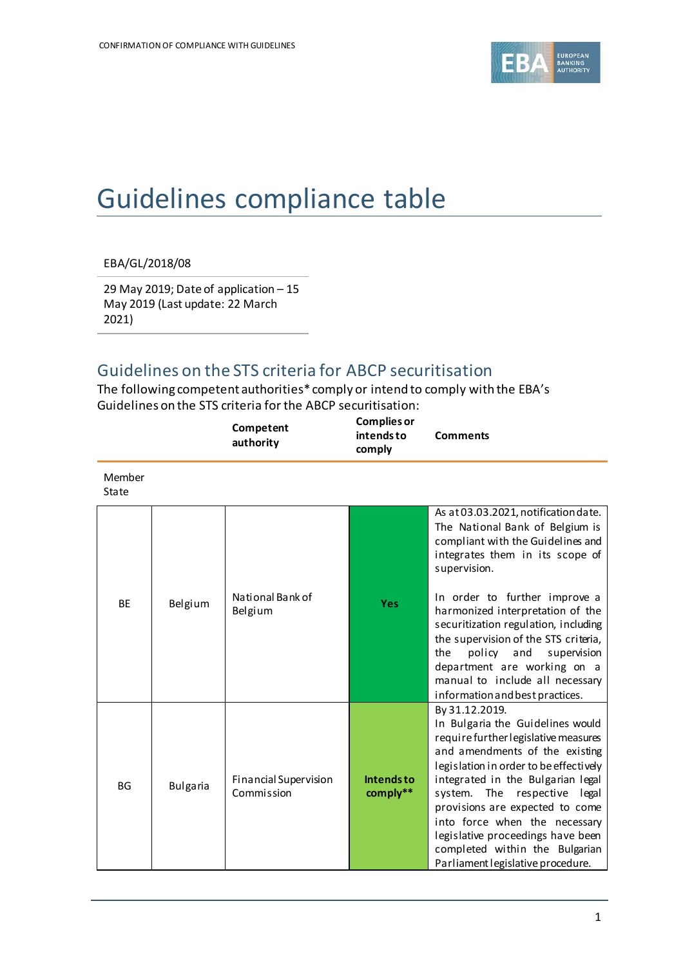

## Guidelines compliance table

EBA/GL/2018/08

29 May 2019; Date of application – 15 May 2019 (Last update: 22 March 2021)

## Guidelines on the STS criteria for ABCP securitisation

The following competent authorities\* comply or intend to comply with the EBA's Guidelines on the STS criteria for the ABCP securitisation:

|                        |                 | Competent<br>authority              | <b>Complies or</b><br>intends to<br>comply | <b>Comments</b>                                                                                                                                                                                                                                                                                                                                                                                                                                               |
|------------------------|-----------------|-------------------------------------|--------------------------------------------|---------------------------------------------------------------------------------------------------------------------------------------------------------------------------------------------------------------------------------------------------------------------------------------------------------------------------------------------------------------------------------------------------------------------------------------------------------------|
| Member<br><b>State</b> |                 |                                     |                                            |                                                                                                                                                                                                                                                                                                                                                                                                                                                               |
| <b>BE</b>              | Belgium         | National Bank of<br>Belgium         | <b>Yes</b>                                 | As at 03.03.2021, notification date.<br>The National Bank of Belgium is<br>compliant with the Guidelines and<br>integrates them in its scope of<br>supervision.<br>In order to further improve a<br>harmonized interpretation of the<br>securitization regulation, including<br>the supervision of the STS criteria,<br>policy and<br>supervision<br>the<br>department are working on a<br>manual to include all necessary<br>information and best practices. |
| <b>BG</b>              | <b>Bulgaria</b> | Financial Supervision<br>Commission | <b>Intendsto</b><br>comply**               | By 31.12.2019.<br>In Bulgaria the Guidelines would<br>require further legislative measures<br>and amendments of the existing<br>legislation in order to be effectively<br>integrated in the Bulgarian legal<br>system. The respective legal<br>provisions are expected to come<br>into force when the necessary<br>legislative proceedings have been<br>completed within the Bulgarian<br>Parliament legislative procedure.                                   |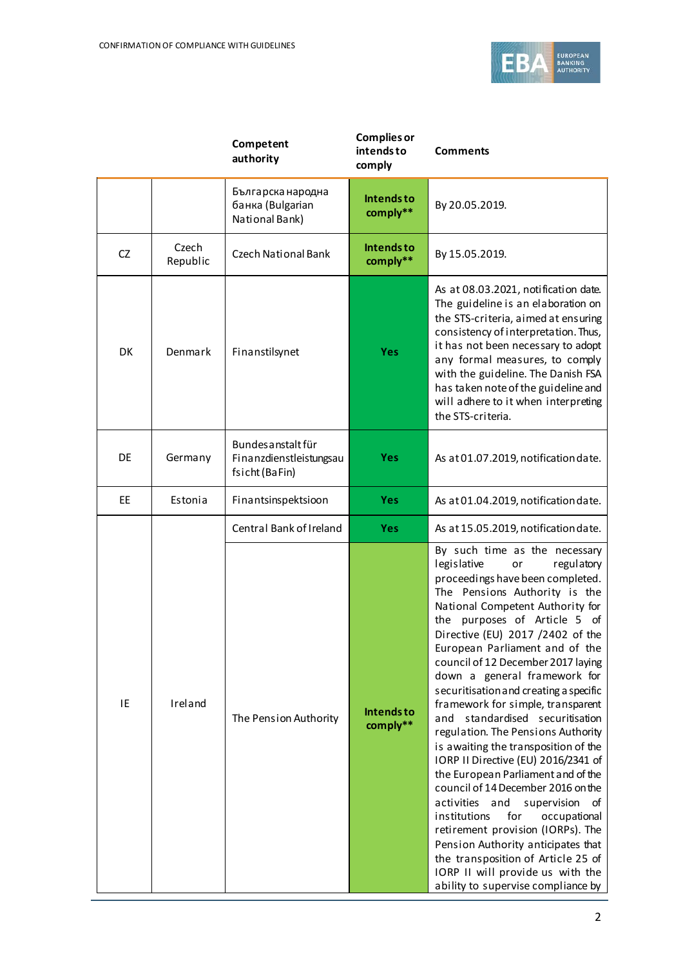

|           |                   | Competent<br>authority                                          | <b>Complies or</b><br>intends to<br>comply | <b>Comments</b>                                                                                                                                                                                                                                                                                                                                                                                                                                                                                                                                                                                                                                                                                                                                                                                                                                                                                                                                      |
|-----------|-------------------|-----------------------------------------------------------------|--------------------------------------------|------------------------------------------------------------------------------------------------------------------------------------------------------------------------------------------------------------------------------------------------------------------------------------------------------------------------------------------------------------------------------------------------------------------------------------------------------------------------------------------------------------------------------------------------------------------------------------------------------------------------------------------------------------------------------------------------------------------------------------------------------------------------------------------------------------------------------------------------------------------------------------------------------------------------------------------------------|
|           |                   | Българска народна<br>банка (Bulgarian<br>National Bank)         | <b>Intendsto</b><br>comply**               | By 20.05.2019.                                                                                                                                                                                                                                                                                                                                                                                                                                                                                                                                                                                                                                                                                                                                                                                                                                                                                                                                       |
| CZ        | Czech<br>Republic | <b>Czech National Bank</b>                                      | <b>Intendsto</b><br>comply**               | By 15.05.2019.                                                                                                                                                                                                                                                                                                                                                                                                                                                                                                                                                                                                                                                                                                                                                                                                                                                                                                                                       |
| <b>DK</b> | Denmark           | Finanstilsynet                                                  | <b>Yes</b>                                 | As at 08.03.2021, notification date.<br>The guideline is an elaboration on<br>the STS-criteria, aimed at ensuring<br>consistency of interpretation. Thus,<br>it has not been necessary to adopt<br>any formal measures, to comply<br>with the guideline. The Danish FSA<br>has taken note of the guideline and<br>will adhere to it when interpreting<br>the STS-criteria.                                                                                                                                                                                                                                                                                                                                                                                                                                                                                                                                                                           |
| DE        | Germany           | Bundes anstalt für<br>Finanzdienstleistungsau<br>fsicht (BaFin) | <b>Yes</b>                                 | As at 01.07.2019, notification date.                                                                                                                                                                                                                                                                                                                                                                                                                                                                                                                                                                                                                                                                                                                                                                                                                                                                                                                 |
| EE        | Estonia           | Finantsinspektsioon                                             | <b>Yes</b>                                 | As at 01.04.2019, notification date.                                                                                                                                                                                                                                                                                                                                                                                                                                                                                                                                                                                                                                                                                                                                                                                                                                                                                                                 |
|           |                   | Central Bank of Ireland                                         | <b>Yes</b>                                 | As at 15.05.2019, notification date.                                                                                                                                                                                                                                                                                                                                                                                                                                                                                                                                                                                                                                                                                                                                                                                                                                                                                                                 |
| IE        | Ireland           | The Pension Authority                                           | Intends to<br>comply**                     | By such time as the necessary<br>legislative<br>regulatory<br>or<br>proceedings have been completed.<br>The Pensions Authority is the<br>National Competent Authority for<br>the purposes of Article 5 of<br>Directive (EU) 2017 /2402 of the<br>European Parliament and of the<br>council of 12 December 2017 laying<br>down a general framework for<br>securitisation and creating a specific<br>framework for simple, transparent<br>standardised securitisation<br>and<br>regulation. The Pensions Authority<br>is awaiting the transposition of the<br>IORP II Directive (EU) 2016/2341 of<br>the European Parliament and of the<br>council of 14 December 2016 on the<br>activities and<br>supervision<br>οf<br>institutions<br>for<br>occupational<br>retirement provision (IORPs). The<br>Pension Authority anticipates that<br>the transposition of Article 25 of<br>IORP II will provide us with the<br>ability to supervise compliance by |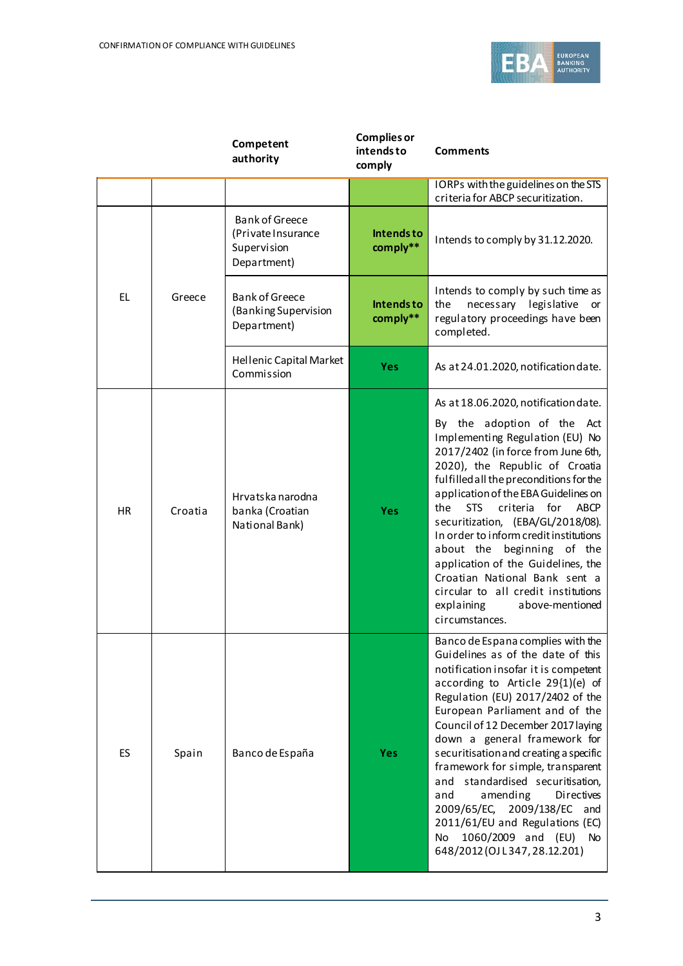

|           |         | Competent<br>authority                                                    | <b>Complies or</b><br>intends to<br>comply | <b>Comments</b>                                                                                                                                                                                                                                                                                                                                                                                                                                                                                                                                                                             |
|-----------|---------|---------------------------------------------------------------------------|--------------------------------------------|---------------------------------------------------------------------------------------------------------------------------------------------------------------------------------------------------------------------------------------------------------------------------------------------------------------------------------------------------------------------------------------------------------------------------------------------------------------------------------------------------------------------------------------------------------------------------------------------|
|           |         |                                                                           |                                            | IORPs with the guidelines on the STS<br>criteria for ABCP securitization.                                                                                                                                                                                                                                                                                                                                                                                                                                                                                                                   |
|           |         | <b>Bank of Greece</b><br>(Private Insurance<br>Supervision<br>Department) | <b>Intendsto</b><br>comply**               | Intends to comply by 31.12.2020.                                                                                                                                                                                                                                                                                                                                                                                                                                                                                                                                                            |
| EL.       | Greece  | <b>Bank of Greece</b><br>(Banking Supervision<br>Department)              | <b>Intendsto</b><br>comply**               | Intends to comply by such time as<br>the<br>necessary legislative or<br>regulatory proceedings have been<br>completed.                                                                                                                                                                                                                                                                                                                                                                                                                                                                      |
|           |         | Hellenic Capital Market<br>Commission                                     | <b>Yes</b>                                 | As at 24.01.2020, notification date.                                                                                                                                                                                                                                                                                                                                                                                                                                                                                                                                                        |
| <b>HR</b> | Croatia | Hrvatska narodna<br>banka (Croatian<br>National Bank)                     | <b>Yes</b>                                 | As at 18.06.2020, notification date.<br>By the adoption of the Act<br>Implementing Regulation (EU) No<br>2017/2402 (in force from June 6th,<br>2020), the Republic of Croatia<br>fulfilled all the preconditions for the<br>application of the EBA Guidelines on<br><b>STS</b><br>criteria for<br>ABCP<br>the<br>securitization, (EBA/GL/2018/08).<br>In order to inform credit institutions<br>about the beginning of the<br>application of the Guidelines, the<br>Croatian National Bank sent a<br>circular to all credit institutions<br>explaining<br>above-mentioned<br>circumstances. |
| ES        | Spain   | Banco de España                                                           | <b>Yes</b>                                 | Banco de Espana complies with the<br>Guidelines as of the date of this<br>notification insofar it is competent<br>according to Article 29{1)(e) of<br>Regulation (EU) 2017/2402 of the<br>European Parliament and of the<br>Council of 12 December 2017 laying<br>down a general framework for<br>securitisation and creating a specific<br>framework for simple, transparent<br>and standardised securitisation,<br>amending<br>Directives<br>and<br>2009/65/EC, 2009/138/EC and<br>2011/61/EU and Regulations (EC)<br>1060/2009 and (EU) No<br>No<br>648/2012 (OJ L347, 28.12.201)        |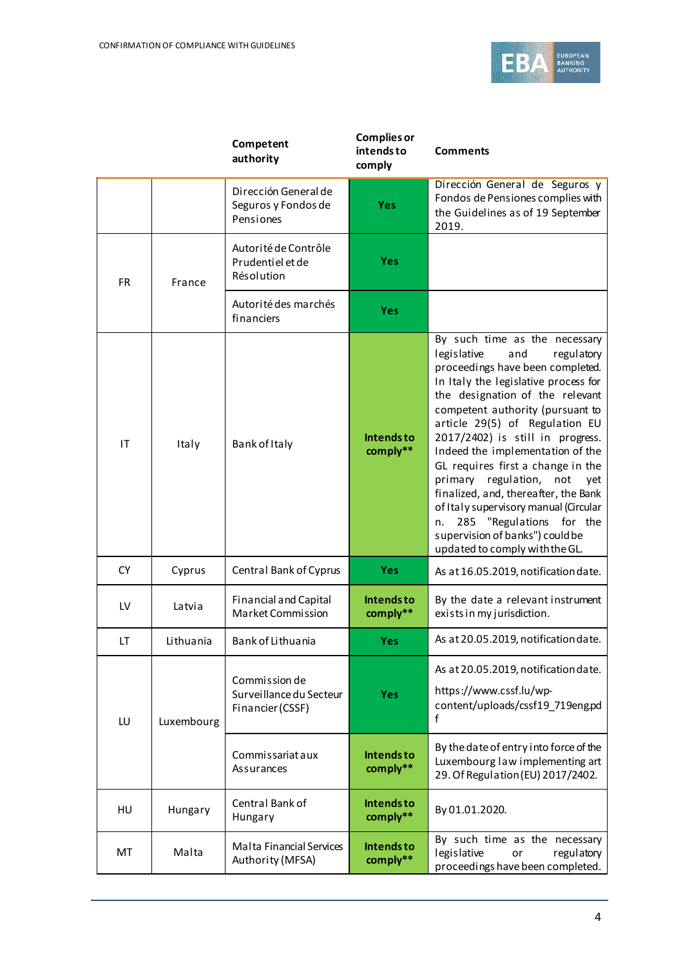

|           |                  | Competent<br>authority                                       | <b>Complies or</b><br>intends to<br>comply | <b>Comments</b>                                                                                                                                                                                                                                                                                                                                                                                                                                                                                                                                                                               |
|-----------|------------------|--------------------------------------------------------------|--------------------------------------------|-----------------------------------------------------------------------------------------------------------------------------------------------------------------------------------------------------------------------------------------------------------------------------------------------------------------------------------------------------------------------------------------------------------------------------------------------------------------------------------------------------------------------------------------------------------------------------------------------|
|           |                  | Dirección General de<br>Seguros y Fondos de<br>Pensiones     | <b>Yes</b>                                 | Dirección General de Seguros y<br>Fondos de Pensiones complies with<br>the Guidelines as of 19 September<br>2019.                                                                                                                                                                                                                                                                                                                                                                                                                                                                             |
| <b>FR</b> | France           | Autorité de Contrôle<br>Prudentiel et de<br>Résolution       | <b>Yes</b>                                 |                                                                                                                                                                                                                                                                                                                                                                                                                                                                                                                                                                                               |
|           |                  | Autorité des marchés<br>financiers                           | <b>Yes</b>                                 |                                                                                                                                                                                                                                                                                                                                                                                                                                                                                                                                                                                               |
| IT        | Italy            | Bank of Italy                                                | <b>Intendsto</b><br>comply**               | By such time as the necessary<br>legislative<br>and<br>regulatory<br>proceedings have been completed.<br>In Italy the legislative process for<br>the designation of the relevant<br>competent authority (pursuant to<br>article 29(5) of Regulation EU<br>2017/2402) is still in progress.<br>Indeed the implementation of the<br>GL requires first a change in the<br>primary regulation, not<br>yet<br>finalized, and, thereafter, the Bank<br>of Italy supervisory manual (Circular<br>285 "Regulations for the<br>n.<br>supervision of banks") could be<br>updated to comply with the GL. |
| <b>CY</b> | Cyprus           | Central Bank of Cyprus                                       | <b>Yes</b>                                 | As at 16.05.2019, notification date.                                                                                                                                                                                                                                                                                                                                                                                                                                                                                                                                                          |
| LV        | Latvia           | <b>Financial and Capital</b><br>Market Commission            | <b>Intendsto</b><br>comply**               | By the date a relevant instrument<br>exists in my jurisdiction.                                                                                                                                                                                                                                                                                                                                                                                                                                                                                                                               |
| LT        | <b>Lithuania</b> | Bank of Lithuania                                            | <b>Yes</b>                                 | As at 20.05.2019, notification date.                                                                                                                                                                                                                                                                                                                                                                                                                                                                                                                                                          |
| LU        | Luxembourg       | Commission de<br>Surveillance du Secteur<br>Financier (CSSF) | <b>Yes</b>                                 | As at 20.05.2019, notification date.<br>https://www.cssf.lu/wp-<br>content/uploads/cssf19 719eng.pd<br>f                                                                                                                                                                                                                                                                                                                                                                                                                                                                                      |
|           |                  | Commissariataux<br>Assurances                                | <b>Intendsto</b><br>comply**               | By the date of entry into force of the<br>Luxembourg law implementing art<br>29. Of Regulation (EU) 2017/2402.                                                                                                                                                                                                                                                                                                                                                                                                                                                                                |
| HU        | Hungary          | Central Bank of<br>Hungary                                   | Intends to<br>comply**                     | By 01.01.2020.                                                                                                                                                                                                                                                                                                                                                                                                                                                                                                                                                                                |
| MT        | Malta            | Malta Financial Services<br>Authority (MFSA)                 | Intends to<br>comply**                     | By such time as the necessary<br>legislative<br>regulatory<br>or<br>proceedings have been completed.                                                                                                                                                                                                                                                                                                                                                                                                                                                                                          |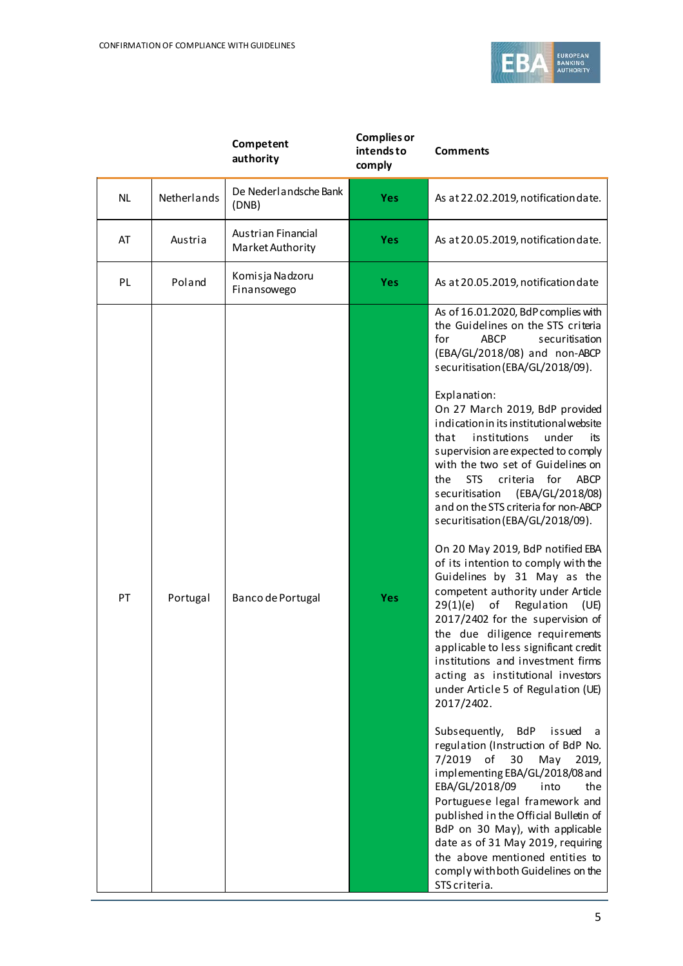

|           |             | Competent<br>authority                 | <b>Complies or</b><br>intends to<br>comply | <b>Comments</b>                                                                                                                                                                                                                                                                                                                                                                                                                                                                                                                                                                                                                                                                                                                                                                                                                                                                                                                                                                                                                                                                                                                                                                                                                                                                                                                                                                                                                                           |
|-----------|-------------|----------------------------------------|--------------------------------------------|-----------------------------------------------------------------------------------------------------------------------------------------------------------------------------------------------------------------------------------------------------------------------------------------------------------------------------------------------------------------------------------------------------------------------------------------------------------------------------------------------------------------------------------------------------------------------------------------------------------------------------------------------------------------------------------------------------------------------------------------------------------------------------------------------------------------------------------------------------------------------------------------------------------------------------------------------------------------------------------------------------------------------------------------------------------------------------------------------------------------------------------------------------------------------------------------------------------------------------------------------------------------------------------------------------------------------------------------------------------------------------------------------------------------------------------------------------------|
| <b>NL</b> | Netherlands | De Nederlandsche Bank<br>(DNB)         | <b>Yes</b>                                 | As at 22.02.2019, notification date.                                                                                                                                                                                                                                                                                                                                                                                                                                                                                                                                                                                                                                                                                                                                                                                                                                                                                                                                                                                                                                                                                                                                                                                                                                                                                                                                                                                                                      |
| AT        | Austria     | Austrian Financial<br>Market Authority | <b>Yes</b>                                 | As at 20.05.2019, notification date.                                                                                                                                                                                                                                                                                                                                                                                                                                                                                                                                                                                                                                                                                                                                                                                                                                                                                                                                                                                                                                                                                                                                                                                                                                                                                                                                                                                                                      |
| PL        | Poland      | Komisja Nadzoru<br>Finansowego         | <b>Yes</b>                                 | As at 20.05.2019, notification date                                                                                                                                                                                                                                                                                                                                                                                                                                                                                                                                                                                                                                                                                                                                                                                                                                                                                                                                                                                                                                                                                                                                                                                                                                                                                                                                                                                                                       |
| PT        | Portugal    | Banco de Portugal                      | <b>Yes</b>                                 | As of 16.01.2020, BdP complies with<br>the Guidelines on the STS criteria<br>for<br><b>ABCP</b><br>securitisation<br>(EBA/GL/2018/08) and non-ABCP<br>securitisation (EBA/GL/2018/09).<br>Explanation:<br>On 27 March 2019, BdP provided<br>indication in its institutional website<br>that<br>institutions<br>under<br>its<br>supervision are expected to comply<br>with the two set of Guidelines on<br><b>STS</b><br>criteria<br>for<br><b>ABCP</b><br>the<br>(EBA/GL/2018/08)<br>securitisation<br>and on the STS criteria for non-ABCP<br>securitisation (EBA/GL/2018/09).<br>On 20 May 2019, BdP notified EBA<br>of its intention to comply with the<br>Guidelines by 31 May as the<br>competent authority under Article<br>of<br>Regulation<br>29(1)(e)<br>(UE)<br>2017/2402 for the supervision of<br>the due diligence requirements<br>applicable to less significant credit<br>institutions and investment firms<br>acting as institutional investors<br>under Article 5 of Regulation (UE)<br>2017/2402.<br>Subsequently,<br>BdP<br>issued<br>- a<br>regulation (Instruction of BdP No.<br>of<br>7/2019<br>30<br>May<br>2019,<br>implementing EBA/GL/2018/08 and<br>EBA/GL/2018/09<br>into<br>the<br>Portuguese legal framework and<br>published in the Official Bulletin of<br>BdP on 30 May), with applicable<br>date as of 31 May 2019, requiring<br>the above mentioned entities to<br>comply with both Guidelines on the<br>STS criteria. |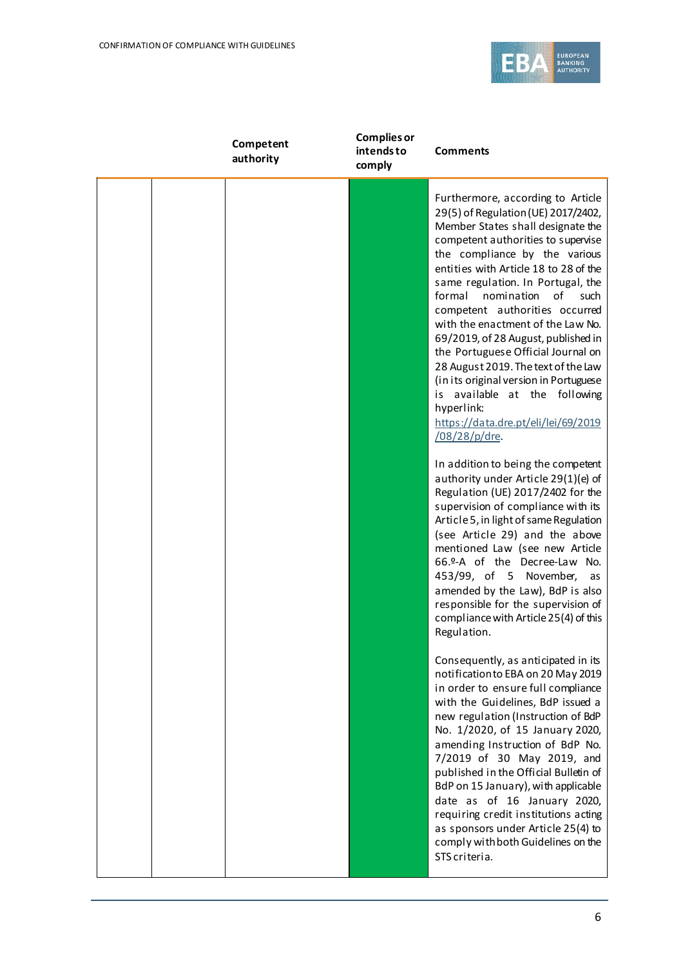

| Competent<br>authority | <b>Complies or</b><br>intends to<br>comply | <b>Comments</b>                                                                                                                                                                                                                                                                                                                                                                                                                                                                                                                                                                                                                                                                                                                                                                                                                                                                                                                                                                                                                                                                                                              |
|------------------------|--------------------------------------------|------------------------------------------------------------------------------------------------------------------------------------------------------------------------------------------------------------------------------------------------------------------------------------------------------------------------------------------------------------------------------------------------------------------------------------------------------------------------------------------------------------------------------------------------------------------------------------------------------------------------------------------------------------------------------------------------------------------------------------------------------------------------------------------------------------------------------------------------------------------------------------------------------------------------------------------------------------------------------------------------------------------------------------------------------------------------------------------------------------------------------|
|                        |                                            | Furthermore, according to Article<br>29(5) of Regulation (UE) 2017/2402,<br>Member States shall designate the<br>competent authorities to supervise<br>the compliance by the various<br>entities with Article 18 to 28 of the<br>same regulation. In Portugal, the<br>formal<br>nomination<br>of<br>such<br>competent authorities occurred<br>with the enactment of the Law No.<br>69/2019, of 28 August, published in<br>the Portuguese Official Journal on<br>28 August 2019. The text of the Law<br>(in its original version in Portuguese<br>is available at the following<br>hyperlink:<br>https://data.dre.pt/eli/lei/69/2019<br>/08/28/p/dre.<br>In addition to being the competent<br>authority under Article 29(1)(e) of<br>Regulation (UE) 2017/2402 for the<br>supervision of compliance with its<br>Article 5, in light of same Regulation<br>(see Article 29) and the above<br>mentioned Law (see new Article<br>66.º-A of the Decree-Law No.<br>453/99, of 5 November,<br>as<br>amended by the Law), BdP is also<br>responsible for the supervision of<br>compliance with Article 25(4) of this<br>Regulation. |
|                        |                                            | Consequently, as anticipated in its<br>notification to EBA on 20 May 2019<br>in order to ensure full compliance<br>with the Guidelines, BdP issued a<br>new regulation (Instruction of BdP<br>No. 1/2020, of 15 January 2020,<br>amending Instruction of BdP No.<br>7/2019 of 30 May 2019, and<br>published in the Official Bulletin of<br>BdP on 15 January), with applicable<br>date as of 16 January 2020,<br>requiring credit institutions acting<br>as sponsors under Article 25(4) to<br>comply with both Guidelines on the<br>STS criteria.                                                                                                                                                                                                                                                                                                                                                                                                                                                                                                                                                                           |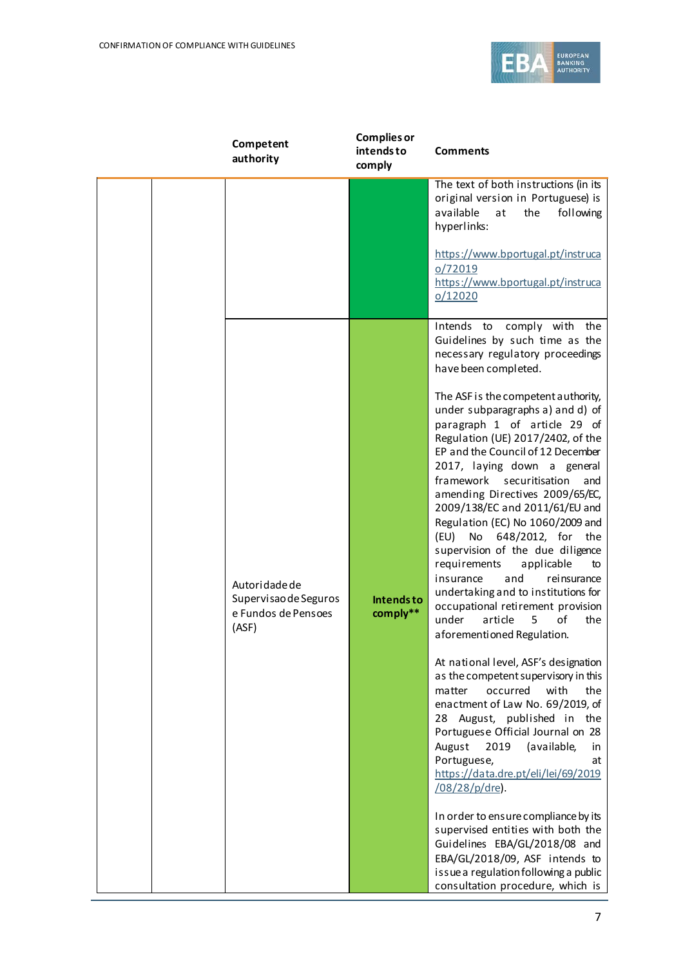

| Competent<br>authority                                                 | <b>Complies or</b><br>intends to<br>comply | <b>Comments</b>                                                                                                                                                                                                                                                                                                                                                                                                                                                                                                                                                                                                      |
|------------------------------------------------------------------------|--------------------------------------------|----------------------------------------------------------------------------------------------------------------------------------------------------------------------------------------------------------------------------------------------------------------------------------------------------------------------------------------------------------------------------------------------------------------------------------------------------------------------------------------------------------------------------------------------------------------------------------------------------------------------|
|                                                                        |                                            | The text of both instructions (in its<br>original version in Portuguese) is<br>available<br>at<br>the<br>following<br>hyperlinks:                                                                                                                                                                                                                                                                                                                                                                                                                                                                                    |
|                                                                        |                                            | https://www.bportugal.pt/instruca<br>o/72019<br>https://www.bportugal.pt/instruca<br>0/12020                                                                                                                                                                                                                                                                                                                                                                                                                                                                                                                         |
|                                                                        |                                            | Intends to comply with the<br>Guidelines by such time as the<br>necessary regulatory proceedings<br>have been completed.<br>The ASF is the competent authority,                                                                                                                                                                                                                                                                                                                                                                                                                                                      |
| Autoridade de<br>Supervisao de Seguros<br>e Fundos de Pensoes<br>(ASF) | <b>Intendsto</b><br>comply**               | under subparagraphs a) and d) of<br>paragraph 1 of article 29 of<br>Regulation (UE) 2017/2402, of the<br>EP and the Council of 12 December<br>2017, laying down a general<br>framework<br>securitisation<br>and<br>amending Directives 2009/65/EC,<br>2009/138/EC and 2011/61/EU and<br>Regulation (EC) No 1060/2009 and<br>(EU)<br>No 648/2012, for the<br>supervision of the due diligence<br>requirements<br>applicable<br>to<br>insurance<br>rei nsurance<br>and<br>undertaking and to institutions for<br>occupational retirement provision<br>under<br>article<br>of<br>5<br>the<br>aforementioned Regulation. |
|                                                                        |                                            | At national level, ASF's designation<br>as the competent supervisory in this<br>occurred<br>with<br>the<br>matter<br>enactment of Law No. 69/2019, of<br>28<br>August, published in the<br>Portuguese Official Journal on 28<br>August<br>2019<br>(available,<br>in<br>Portuguese,<br>at<br>https://data.dre.pt/eli/lei/69/2019<br>/08/28/p/dre).                                                                                                                                                                                                                                                                    |
|                                                                        |                                            | In order to ensure compliance by its<br>supervised entities with both the<br>Guidelines EBA/GL/2018/08 and<br>EBA/GL/2018/09, ASF intends to<br>issue a regulation following a public<br>consultation procedure, which is                                                                                                                                                                                                                                                                                                                                                                                            |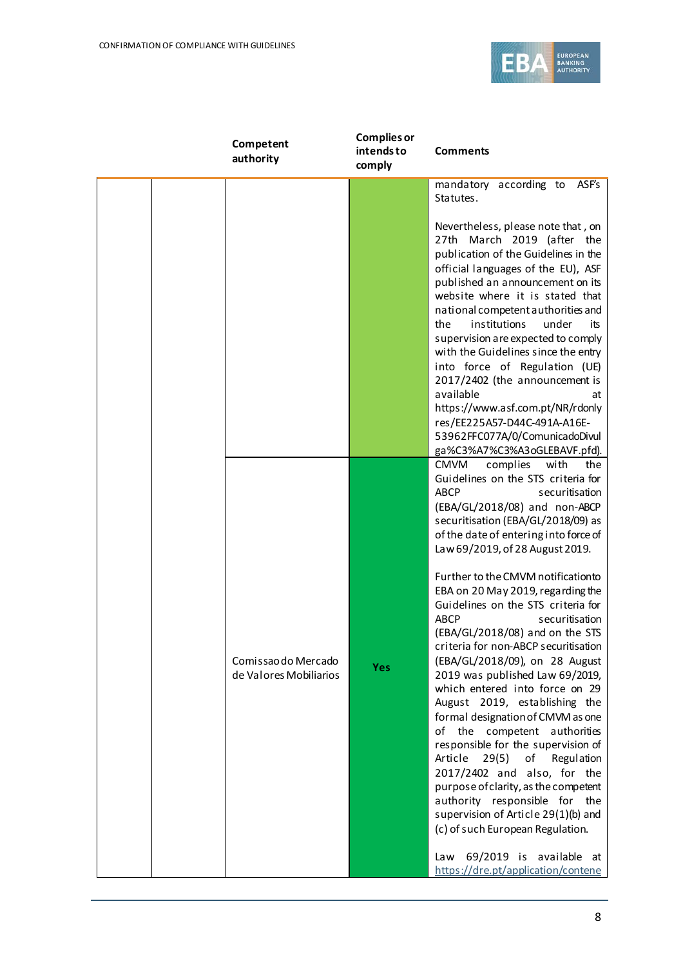

| Competent<br>authority                        | <b>Complies or</b><br>intends to<br>comply | <b>Comments</b>                                                                                                                                                                                                                                                                                                                                                                                                                                                                                                                                                                                                                                                                                                                                                                                                                                                                                                                                                                                                                                     |
|-----------------------------------------------|--------------------------------------------|-----------------------------------------------------------------------------------------------------------------------------------------------------------------------------------------------------------------------------------------------------------------------------------------------------------------------------------------------------------------------------------------------------------------------------------------------------------------------------------------------------------------------------------------------------------------------------------------------------------------------------------------------------------------------------------------------------------------------------------------------------------------------------------------------------------------------------------------------------------------------------------------------------------------------------------------------------------------------------------------------------------------------------------------------------|
|                                               |                                            | mandatory according to<br>ASF's<br>Statutes.                                                                                                                                                                                                                                                                                                                                                                                                                                                                                                                                                                                                                                                                                                                                                                                                                                                                                                                                                                                                        |
|                                               |                                            | Nevertheless, please note that, on<br>27th March 2019 (after the<br>publication of the Guidelines in the<br>official languages of the EU), ASF<br>published an announcement on its<br>website where it is stated that<br>national competent authorities and<br>institutions<br>under<br>the<br>its<br>supervision are expected to comply<br>with the Guidelines since the entry<br>into force of Regulation (UE)<br>2017/2402 (the announcement is<br>available<br>at<br>https://www.asf.com.pt/NR/rdonly<br>res/EE225A57-D44C-491A-A16E-<br>53962FFC077A/0/ComunicadoDivul<br>ga%C3%A7%C3%A3oGLEBAVF.pfd).                                                                                                                                                                                                                                                                                                                                                                                                                                         |
| Comissao do Mercado<br>de Valores Mobiliarios | Yes                                        | <b>CMVM</b><br>complies<br>with<br>the<br>Guidelines on the STS criteria for<br><b>ABCP</b><br>securitisation<br>(EBA/GL/2018/08) and non-ABCP<br>securitisation (EBA/GL/2018/09) as<br>of the date of entering into force of<br>Law 69/2019, of 28 August 2019.<br>Further to the CMVM notificationto<br>EBA on 20 May 2019, regarding the<br>Guidelines on the STS criteria for<br><b>ABCP</b><br>securitisation<br>(EBA/GL/2018/08) and on the STS<br>criteria for non-ABCP securitisation<br>(EBA/GL/2018/09), on 28 August<br>2019 was published Law 69/2019,<br>which entered into force on 29<br>August 2019, establishing the<br>formal designation of CMVM as one<br>of the competent authorities<br>responsible for the supervision of<br>of<br>Article<br>29(5)<br>Regulation<br>2017/2402 and also, for the<br>purpose of clarity, as the competent<br>authority responsible for the<br>supervision of Article 29(1)(b) and<br>(c) of such European Regulation.<br>69/2019 is available at<br>Law<br>https://dre.pt/application/contene |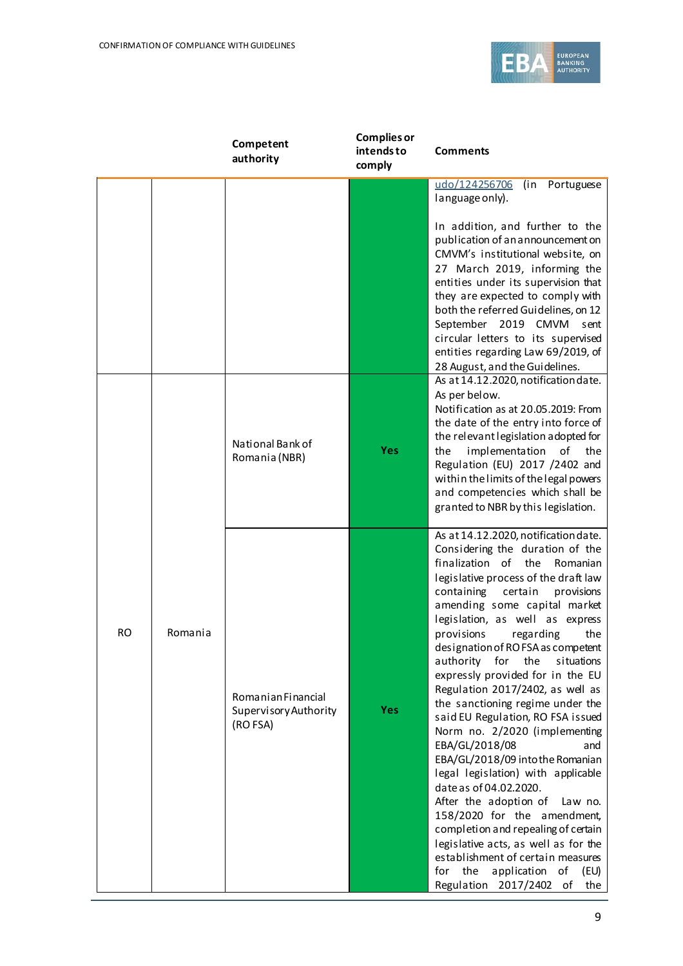

|           |         | Competent<br>authority                                  | <b>Complies or</b><br>intends to<br>comply | <b>Comments</b>                                                                                                                                                                                                                                                                                                                                                                                                                                                                                                                                                                                                                                                                                                                                                                                                                                                                                                                                           |
|-----------|---------|---------------------------------------------------------|--------------------------------------------|-----------------------------------------------------------------------------------------------------------------------------------------------------------------------------------------------------------------------------------------------------------------------------------------------------------------------------------------------------------------------------------------------------------------------------------------------------------------------------------------------------------------------------------------------------------------------------------------------------------------------------------------------------------------------------------------------------------------------------------------------------------------------------------------------------------------------------------------------------------------------------------------------------------------------------------------------------------|
|           |         |                                                         |                                            | udo/124256706<br>(in Portuguese<br>language only).                                                                                                                                                                                                                                                                                                                                                                                                                                                                                                                                                                                                                                                                                                                                                                                                                                                                                                        |
|           |         |                                                         |                                            | In addition, and further to the<br>publication of an announcement on<br>CMVM's institutional website, on<br>27 March 2019, informing the<br>entities under its supervision that<br>they are expected to comply with<br>both the referred Guidelines, on 12<br>September 2019 CMVM sent<br>circular letters to its supervised<br>entities regarding Law 69/2019, of<br>28 August, and the Guidelines.                                                                                                                                                                                                                                                                                                                                                                                                                                                                                                                                                      |
|           |         | National Bank of<br>Romania (NBR)                       | <b>Yes</b>                                 | As at 14.12.2020, notification date.<br>As per below.<br>Notification as at 20.05.2019: From<br>the date of the entry into force of<br>the relevant legislation adopted for<br>implementation<br>the<br>οf<br>the<br>Regulation (EU) 2017 /2402 and<br>within the limits of the legal powers<br>and competencies which shall be<br>granted to NBR by this legislation.                                                                                                                                                                                                                                                                                                                                                                                                                                                                                                                                                                                    |
| <b>RO</b> | Romania | Romanian Financial<br>Supervisory Authority<br>(RO FSA) | <b>Yes</b>                                 | As at 14.12.2020, notification date.<br>Considering the duration of the<br>finalization of the<br>Romanian<br>legislative process of the draft law<br>containing<br>certain<br>provisions<br>amending some capital market<br>legislation, as well as express<br>provisions<br>regarding<br>the<br>designation of ROFSA as competent<br>authority for the<br>situations<br>expressly provided for in the EU<br>Regulation 2017/2402, as well as<br>the sanctioning regime under the<br>said EU Regulation, RO FSA issued<br>Norm no. 2/2020 (implementing<br>EBA/GL/2018/08<br>and<br>EBA/GL/2018/09 into the Romanian<br>legal legislation) with applicable<br>date as of 04.02.2020.<br>After the adoption of<br>Law no.<br>158/2020 for the amendment,<br>completion and repealing of certain<br>legislative acts, as well as for the<br>establishment of certain measures<br>the<br>application<br>for<br>of<br>(EU)<br>Regulation 2017/2402 of<br>the |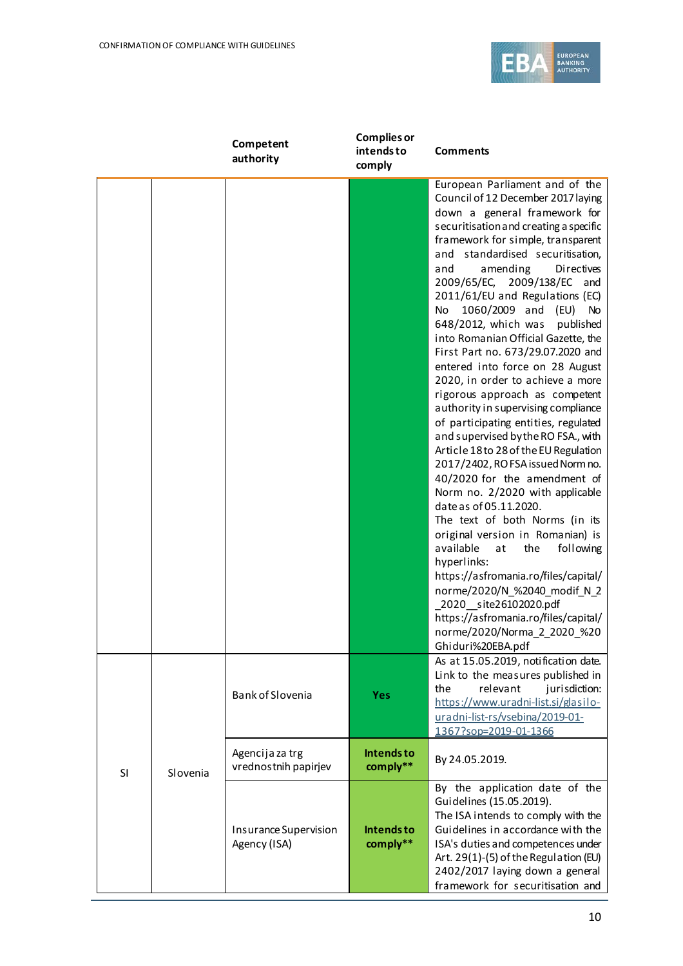

|    |          | Competent<br>authority                  | <b>Complies or</b><br>intends to<br>comply | <b>Comments</b>                                                                                                                                                                                                                                                                                                                                                                                                                                                                                                                                                                                                                                                                                                                                                                                                                                                                                                                                                                                                                                                                                                                                                                                                               |
|----|----------|-----------------------------------------|--------------------------------------------|-------------------------------------------------------------------------------------------------------------------------------------------------------------------------------------------------------------------------------------------------------------------------------------------------------------------------------------------------------------------------------------------------------------------------------------------------------------------------------------------------------------------------------------------------------------------------------------------------------------------------------------------------------------------------------------------------------------------------------------------------------------------------------------------------------------------------------------------------------------------------------------------------------------------------------------------------------------------------------------------------------------------------------------------------------------------------------------------------------------------------------------------------------------------------------------------------------------------------------|
|    |          |                                         |                                            | European Parliament and of the<br>Council of 12 December 2017 laying<br>down a general framework for<br>securitisation and creating a specific<br>framework for simple, transparent<br>and standardised securitisation,<br>amending<br><b>Directives</b><br>and<br>2009/65/EC, 2009/138/EC and<br>2011/61/EU and Regulations (EC)<br>1060/2009 and (EU)<br>No<br><b>No</b><br>648/2012, which was<br>published<br>into Romanian Official Gazette, the<br>First Part no. 673/29.07.2020 and<br>entered into force on 28 August<br>2020, in order to achieve a more<br>rigorous approach as competent<br>authority in supervising compliance<br>of participating entities, regulated<br>and supervised by the RO FSA., with<br>Article 18 to 28 of the EU Regulation<br>2017/2402, RO FSA issued Norm no.<br>40/2020 for the amendment of<br>Norm no. 2/2020 with applicable<br>date as of 05.11.2020.<br>The text of both Norms (in its<br>original version in Romanian) is<br>available<br>at<br>the<br>following<br>hyperlinks:<br>https://asfromania.ro/files/capital/<br>norme/2020/N_%2040_modif_N_2<br>2020 site26102020.pdf<br>https://asfromania.ro/files/capital/<br>norme/2020/Norma 2 2020 %20<br>Ghiduri%20EBA.pdf |
|    |          | Bank of Slovenia                        | <b>Yes</b>                                 | As at 15.05.2019, notification date.<br>Link to the measures published in<br>relevant<br>jurisdiction:<br>the<br>https://www.uradni-list.si/glasilo-<br>uradni-list-rs/vsebina/2019-01-<br>1367?sop=2019-01-1366                                                                                                                                                                                                                                                                                                                                                                                                                                                                                                                                                                                                                                                                                                                                                                                                                                                                                                                                                                                                              |
| SI | Slovenia | Agencija za trg<br>vrednostnih papirjev | <b>Intendsto</b><br>comply**               | By 24.05.2019.                                                                                                                                                                                                                                                                                                                                                                                                                                                                                                                                                                                                                                                                                                                                                                                                                                                                                                                                                                                                                                                                                                                                                                                                                |
|    |          | Insurance Supervision<br>Agency (ISA)   | <b>Intendsto</b><br>comply**               | By the application date of the<br>Guidelines (15.05.2019).<br>The ISA intends to comply with the<br>Guidelines in accordance with the<br>ISA's duties and competences under<br>Art. 29(1)-(5) of the Regulation (EU)<br>2402/2017 laying down a general<br>framework for securitisation and                                                                                                                                                                                                                                                                                                                                                                                                                                                                                                                                                                                                                                                                                                                                                                                                                                                                                                                                   |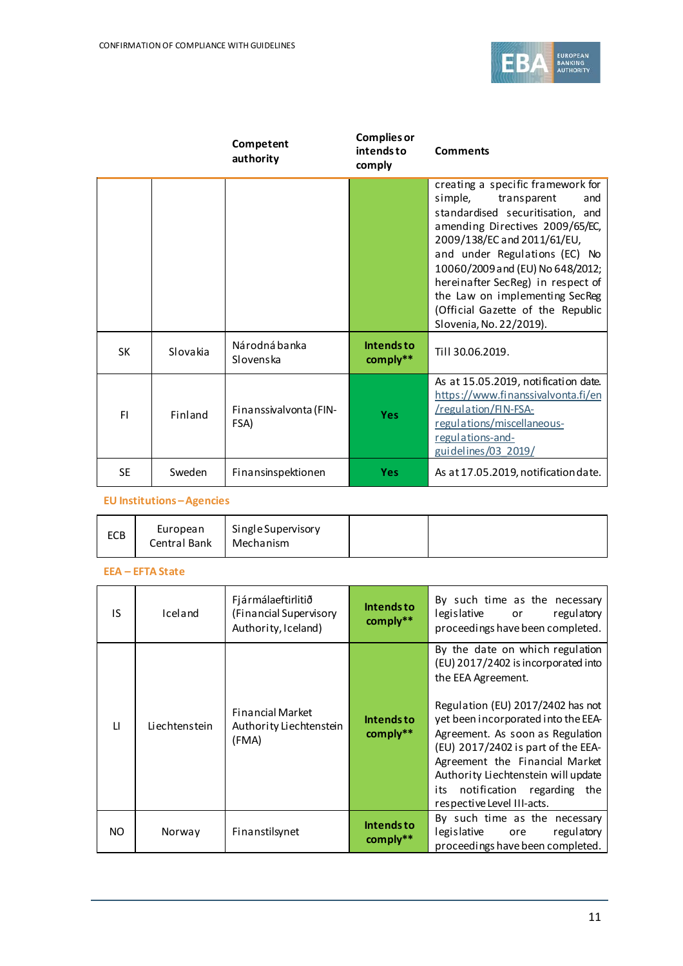

|           |          | Competent<br>authority         | <b>Complies or</b><br>intends to<br>comply | <b>Comments</b>                                                                                                                                                                                                                                                                                                                                                                      |
|-----------|----------|--------------------------------|--------------------------------------------|--------------------------------------------------------------------------------------------------------------------------------------------------------------------------------------------------------------------------------------------------------------------------------------------------------------------------------------------------------------------------------------|
|           |          |                                |                                            | creating a specific framework for<br>simple,<br>transparent<br>and<br>standardised securitisation, and<br>amending Directives 2009/65/EC,<br>2009/138/EC and 2011/61/EU,<br>and under Regulations (EC) No<br>10060/2009 and (EU) No 648/2012;<br>hereinafter SecReg) in respect of<br>the Law on implementing SecReg<br>(Official Gazette of the Republic<br>Slovenia, No. 22/2019). |
| <b>SK</b> | Slovakia | Národná banka<br>Slovenska     | <b>Intendsto</b><br>comply**               | Till 30.06.2019.                                                                                                                                                                                                                                                                                                                                                                     |
| FI.       | Finland  | Finanssivalvonta (FIN-<br>FSA) | <b>Yes</b>                                 | As at 15.05.2019, notification date.<br>https://www.finanssivalvonta.fi/en<br>/regulation/FIN-FSA-<br>regulations/miscellaneous-<br>regulations-and-<br>guidelines/03 2019/                                                                                                                                                                                                          |
| <b>SE</b> | Sweden   | Finansinspektionen             | <b>Yes</b>                                 | As at 17.05.2019, notification date.                                                                                                                                                                                                                                                                                                                                                 |

**EU Institutions –Agencies**

| ECB | European<br>Central Bank | Single Supervisory<br>Mechanism |  |  |  |
|-----|--------------------------|---------------------------------|--|--|--|
|-----|--------------------------|---------------------------------|--|--|--|

## **EEA – EFTA State**

| IS.          | Iceland       | Fjármálaeftirlitið<br>(Financial Supervisory<br>Authority, Iceland) | <b>Intendsto</b><br>comply** | By such time as the necessary<br>legislative or<br>regulatory<br>proceedings have been completed.                                                                                                                                                                                                                                                                                              |
|--------------|---------------|---------------------------------------------------------------------|------------------------------|------------------------------------------------------------------------------------------------------------------------------------------------------------------------------------------------------------------------------------------------------------------------------------------------------------------------------------------------------------------------------------------------|
| $\mathbf{H}$ | Liechtenstein | <b>Financial Market</b><br>Authority Liechtenstein<br>(FMA)         | Intends to<br>comply**       | By the date on which regulation<br>(EU) 2017/2402 is incorporated into<br>the EEA Agreement.<br>Regulation (EU) 2017/2402 has not<br>yet been incorporated into the EEA-<br>Agreement. As soon as Regulation<br>(EU) 2017/2402 is part of the EEA-<br>Agreement the Financial Market<br>Authority Liechtenstein will update<br>notification regarding the<br>its<br>respective Level III-acts. |
| NO.          | Norway        | Finanstilsynet                                                      | <b>Intendsto</b><br>comply** | By such time as the necessary<br>legislative<br>regulatory<br>ore<br>proceedings have been completed.                                                                                                                                                                                                                                                                                          |